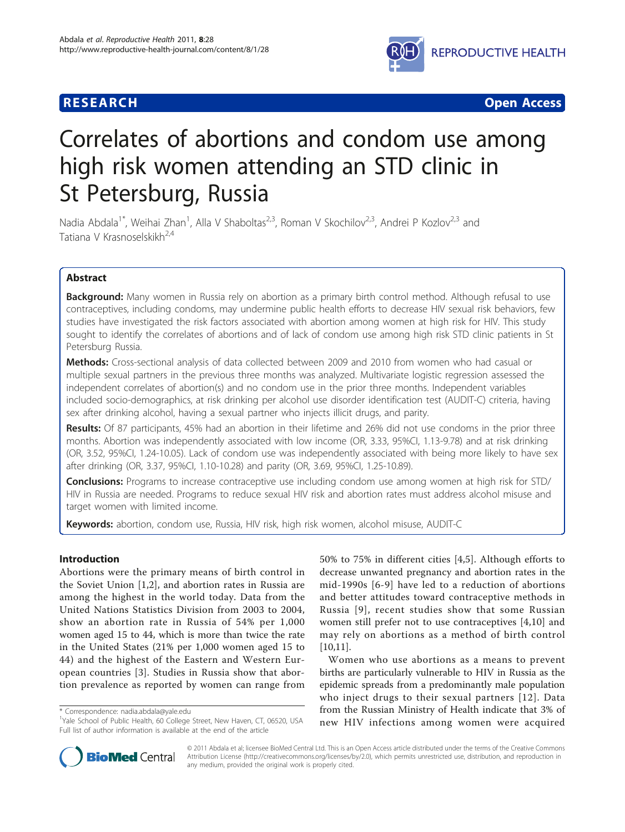## **RESEARCH CHRISTIAN CONSUMING CONTRACT CONSUMING CONSUMING CONSUMING CONSUMING CONSUMING CONSUMING CONSUMING CO**



# Correlates of abortions and condom use among high risk women attending an STD clinic in St Petersburg, Russia

Nadia Abdala<sup>1\*</sup>, Weihai Zhan<sup>1</sup>, Alla V Shaboltas<sup>2,3</sup>, Roman V Skochilov<sup>2,3</sup>, Andrei P Kozlov<sup>2,3</sup> and Tatiana V Krasnoselskikh<sup>2,4</sup>

## Abstract

**Background:** Many women in Russia rely on abortion as a primary birth control method. Although refusal to use contraceptives, including condoms, may undermine public health efforts to decrease HIV sexual risk behaviors, few studies have investigated the risk factors associated with abortion among women at high risk for HIV. This study sought to identify the correlates of abortions and of lack of condom use among high risk STD clinic patients in St Petersburg Russia.

Methods: Cross-sectional analysis of data collected between 2009 and 2010 from women who had casual or multiple sexual partners in the previous three months was analyzed. Multivariate logistic regression assessed the independent correlates of abortion(s) and no condom use in the prior three months. Independent variables included socio-demographics, at risk drinking per alcohol use disorder identification test (AUDIT-C) criteria, having sex after drinking alcohol, having a sexual partner who injects illicit drugs, and parity.

Results: Of 87 participants, 45% had an abortion in their lifetime and 26% did not use condoms in the prior three months. Abortion was independently associated with low income (OR, 3.33, 95%CI, 1.13-9.78) and at risk drinking (OR, 3.52, 95%CI, 1.24-10.05). Lack of condom use was independently associated with being more likely to have sex after drinking (OR, 3.37, 95%CI, 1.10-10.28) and parity (OR, 3.69, 95%CI, 1.25-10.89).

**Conclusions:** Programs to increase contraceptive use including condom use among women at high risk for STD/ HIV in Russia are needed. Programs to reduce sexual HIV risk and abortion rates must address alcohol misuse and target women with limited income.

Keywords: abortion, condom use, Russia, HIV risk, high risk women, alcohol misuse, AUDIT-C

## Introduction

Abortions were the primary means of birth control in the Soviet Union [[1,2\]](#page-5-0), and abortion rates in Russia are among the highest in the world today. Data from the United Nations Statistics Division from 2003 to 2004, show an abortion rate in Russia of 54% per 1,000 women aged 15 to 44, which is more than twice the rate in the United States (21% per 1,000 women aged 15 to 44) and the highest of the Eastern and Western European countries [[3\]](#page-5-0). Studies in Russia show that abortion prevalence as reported by women can range from

\* Correspondence: [nadia.abdala@yale.edu](mailto:nadia.abdala@yale.edu)

50% to 75% in different cities [\[4,5](#page-5-0)]. Although efforts to decrease unwanted pregnancy and abortion rates in the mid-1990s [[6-9\]](#page-5-0) have led to a reduction of abortions and better attitudes toward contraceptive methods in Russia [[9\]](#page-5-0), recent studies show that some Russian women still prefer not to use contraceptives [\[4](#page-5-0),[10\]](#page-5-0) and may rely on abortions as a method of birth control [[10,11\]](#page-5-0).

Women who use abortions as a means to prevent births are particularly vulnerable to HIV in Russia as the epidemic spreads from a predominantly male population who inject drugs to their sexual partners [[12](#page-5-0)]. Data from the Russian Ministry of Health indicate that 3% of new HIV infections among women were acquired



© 2011 Abdala et al; licensee BioMed Central Ltd. This is an Open Access article distributed under the terms of the Creative Commons Attribution License [\(http://creativecommons.org/licenses/by/2.0](http://creativecommons.org/licenses/by/2.0)), which permits unrestricted use, distribution, and reproduction in any medium, provided the original work is properly cited.

<sup>&</sup>lt;sup>1</sup>Yale School of Public Health, 60 College Street, New Haven, CT, 06520, USA Full list of author information is available at the end of the article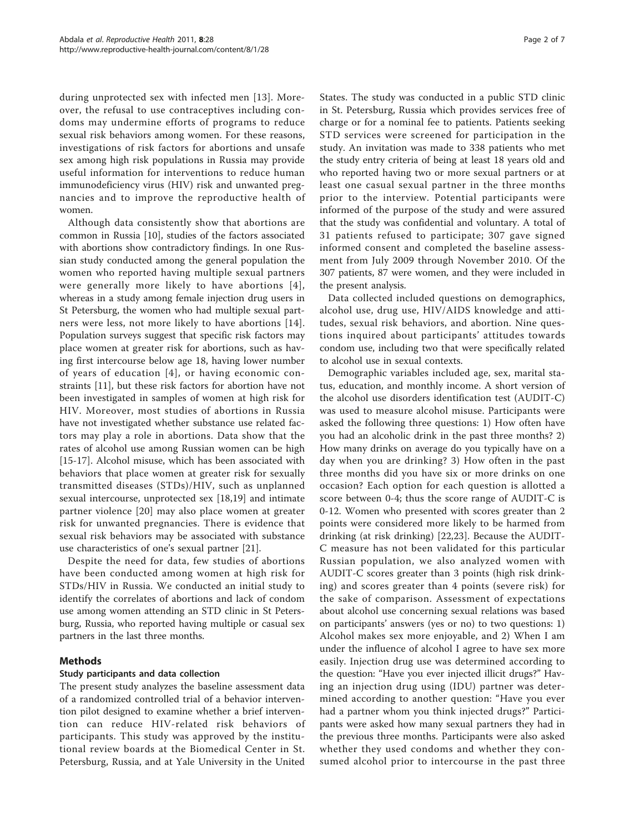during unprotected sex with infected men [[13\]](#page-5-0). Moreover, the refusal to use contraceptives including condoms may undermine efforts of programs to reduce sexual risk behaviors among women. For these reasons, investigations of risk factors for abortions and unsafe sex among high risk populations in Russia may provide useful information for interventions to reduce human immunodeficiency virus (HIV) risk and unwanted pregnancies and to improve the reproductive health of women.

Although data consistently show that abortions are common in Russia [\[10](#page-5-0)], studies of the factors associated with abortions show contradictory findings. In one Russian study conducted among the general population the women who reported having multiple sexual partners were generally more likely to have abortions [[4\]](#page-5-0), whereas in a study among female injection drug users in St Petersburg, the women who had multiple sexual partners were less, not more likely to have abortions [[14](#page-5-0)]. Population surveys suggest that specific risk factors may place women at greater risk for abortions, such as having first intercourse below age 18, having lower number of years of education [[4](#page-5-0)], or having economic constraints [\[11\]](#page-5-0), but these risk factors for abortion have not been investigated in samples of women at high risk for HIV. Moreover, most studies of abortions in Russia have not investigated whether substance use related factors may play a role in abortions. Data show that the rates of alcohol use among Russian women can be high [[15-17](#page-5-0)]. Alcohol misuse, which has been associated with behaviors that place women at greater risk for sexually transmitted diseases (STDs)/HIV, such as unplanned sexual intercourse, unprotected sex [[18,19\]](#page-5-0) and intimate partner violence [[20\]](#page-5-0) may also place women at greater risk for unwanted pregnancies. There is evidence that sexual risk behaviors may be associated with substance use characteristics of one's sexual partner [[21\]](#page-5-0).

Despite the need for data, few studies of abortions have been conducted among women at high risk for STDs/HIV in Russia. We conducted an initial study to identify the correlates of abortions and lack of condom use among women attending an STD clinic in St Petersburg, Russia, who reported having multiple or casual sex partners in the last three months.

## Methods

## Study participants and data collection

The present study analyzes the baseline assessment data of a randomized controlled trial of a behavior intervention pilot designed to examine whether a brief intervention can reduce HIV-related risk behaviors of participants. This study was approved by the institutional review boards at the Biomedical Center in St. Petersburg, Russia, and at Yale University in the United States. The study was conducted in a public STD clinic in St. Petersburg, Russia which provides services free of charge or for a nominal fee to patients. Patients seeking STD services were screened for participation in the study. An invitation was made to 338 patients who met the study entry criteria of being at least 18 years old and who reported having two or more sexual partners or at least one casual sexual partner in the three months prior to the interview. Potential participants were informed of the purpose of the study and were assured that the study was confidential and voluntary. A total of 31 patients refused to participate; 307 gave signed informed consent and completed the baseline assessment from July 2009 through November 2010. Of the 307 patients, 87 were women, and they were included in the present analysis.

Data collected included questions on demographics, alcohol use, drug use, HIV/AIDS knowledge and attitudes, sexual risk behaviors, and abortion. Nine questions inquired about participants' attitudes towards condom use, including two that were specifically related to alcohol use in sexual contexts.

Demographic variables included age, sex, marital status, education, and monthly income. A short version of the alcohol use disorders identification test (AUDIT-C) was used to measure alcohol misuse. Participants were asked the following three questions: 1) How often have you had an alcoholic drink in the past three months? 2) How many drinks on average do you typically have on a day when you are drinking? 3) How often in the past three months did you have six or more drinks on one occasion? Each option for each question is allotted a score between 0-4; thus the score range of AUDIT-C is 0-12. Women who presented with scores greater than 2 points were considered more likely to be harmed from drinking (at risk drinking) [\[22,23](#page-5-0)]. Because the AUDIT-C measure has not been validated for this particular Russian population, we also analyzed women with AUDIT-C scores greater than 3 points (high risk drinking) and scores greater than 4 points (severe risk) for the sake of comparison. Assessment of expectations about alcohol use concerning sexual relations was based on participants' answers (yes or no) to two questions: 1) Alcohol makes sex more enjoyable, and 2) When I am under the influence of alcohol I agree to have sex more easily. Injection drug use was determined according to the question: "Have you ever injected illicit drugs?" Having an injection drug using (IDU) partner was determined according to another question: "Have you ever had a partner whom you think injected drugs?" Participants were asked how many sexual partners they had in the previous three months. Participants were also asked whether they used condoms and whether they consumed alcohol prior to intercourse in the past three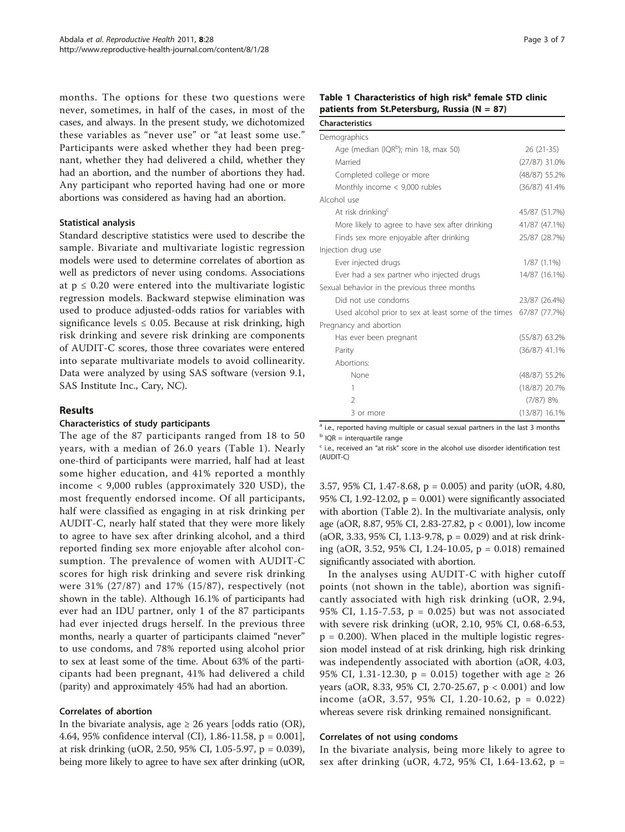months. The options for these two questions were never, sometimes, in half of the cases, in most of the cases, and always. In the present study, we dichotomized these variables as "never use" or "at least some use." Participants were asked whether they had been pregnant, whether they had delivered a child, whether they had an abortion, and the number of abortions they had. Any participant who reported having had one or more abortions was considered as having had an abortion.

#### Statistical analysis

Standard descriptive statistics were used to describe the sample. Bivariate and multivariate logistic regression models were used to determine correlates of abortion as well as predictors of never using condoms. Associations at  $p \leq 0.20$  were entered into the multivariate logistic regression models. Backward stepwise elimination was used to produce adjusted-odds ratios for variables with significance levels  $\leq$  0.05. Because at risk drinking, high risk drinking and severe risk drinking are components of AUDIT-C scores, those three covariates were entered into separate multivariate models to avoid collinearity. Data were analyzed by using SAS software (version 9.1, SAS Institute Inc., Cary, NC).

## Results

#### Characteristics of study participants

The age of the 87 participants ranged from 18 to 50 years, with a median of 26.0 years (Table 1). Nearly one-third of participants were married, half had at least some higher education, and 41% reported a monthly income < 9,000 rubles (approximately 320 USD), the most frequently endorsed income. Of all participants, half were classified as engaging in at risk drinking per AUDIT-C, nearly half stated that they were more likely to agree to have sex after drinking alcohol, and a third reported finding sex more enjoyable after alcohol consumption. The prevalence of women with AUDIT-C scores for high risk drinking and severe risk drinking were 31% (27/87) and 17% (15/87), respectively (not shown in the table). Although 16.1% of participants had ever had an IDU partner, only 1 of the 87 participants had ever injected drugs herself. In the previous three months, nearly a quarter of participants claimed "never" to use condoms, and 78% reported using alcohol prior to sex at least some of the time. About 63% of the participants had been pregnant, 41% had delivered a child (parity) and approximately 45% had had an abortion.

#### Correlates of abortion

In the bivariate analysis, age  $\geq$  26 years [odds ratio (OR), 4.64, 95% confidence interval (CI), 1.86-11.58, p = 0.001], at risk drinking (uOR, 2.50, 95% CI, 1.05-5.97, p = 0.039), being more likely to agree to have sex after drinking (uOR,

## Table 1 Characteristics of high risk<sup>a</sup> female STD clinic patients from St.Petersburg, Russia ( $N = 87$ )

| <b>Characteristics</b>                                             |                 |
|--------------------------------------------------------------------|-----------------|
| Demographics                                                       |                 |
| Age (median (IQR <sup>b</sup> ); min 18, max 50)                   | $26(21-35)$     |
| Married                                                            | (27/87) 31.0%   |
| Completed college or more                                          | (48/87) 55.2%   |
| Monthly income $<$ 9,000 rubles                                    | $(36/87)$ 41.4% |
| Alcohol use                                                        |                 |
| At risk drinking <sup>c</sup>                                      | 45/87 (51.7%)   |
| More likely to agree to have sex after drinking                    | 41/87 (47.1%)   |
| Finds sex more enjoyable after drinking                            | 25/87 (28.7%)   |
| Injection drug use                                                 |                 |
| Ever injected drugs                                                | $1/87(1.1\%)$   |
| Ever had a sex partner who injected drugs                          | 14/87 (16.1%)   |
| Sexual behavior in the previous three months                       |                 |
| Did not use condoms                                                | 23/87 (26.4%)   |
| Used alcohol prior to sex at least some of the times 67/87 (77.7%) |                 |
| Pregnancy and abortion                                             |                 |
| Has ever been pregnant                                             | $(55/87)$ 63.2% |
| Parity                                                             | $(36/87)$ 41.1% |
| Abortions:                                                         |                 |
| None                                                               | (48/87) 55.2%   |
| 1                                                                  | $(18/87)$ 20.7% |
| $\mathcal{P}$                                                      | $(7/87)$ 8%     |
| 3 or more                                                          | $(13/87)$ 16.1% |

 $a$  i.e., reported having multiple or casual sexual partners in the last 3 months  $<sup>b</sup>$  IQR = interquartile range</sup>

 $c$  i.e., received an "at risk" score in the alcohol use disorder identification test (AUDIT-C)

3.57, 95% CI, 1.47-8.68, p = 0.005) and parity (uOR, 4.80, 95% CI, 1.92-12.02,  $p = 0.001$ ) were significantly associated with abortion (Table [2](#page-3-0)). In the multivariate analysis, only age (aOR, 8.87, 95% CI, 2.83-27.82, p < 0.001), low income (aOR, 3.33, 95% CI, 1.13-9.78, p = 0.029) and at risk drinking (aOR, 3.52, 95% CI, 1.24-10.05, p = 0.018) remained significantly associated with abortion.

In the analyses using AUDIT-C with higher cutoff points (not shown in the table), abortion was significantly associated with high risk drinking (uOR, 2.94, 95% CI, 1.15-7.53, p = 0.025) but was not associated with severe risk drinking (uOR, 2.10, 95% CI, 0.68-6.53,  $p = 0.200$ ). When placed in the multiple logistic regression model instead of at risk drinking, high risk drinking was independently associated with abortion (aOR, 4.03, 95% CI, 1.31-12.30,  $p = 0.015$ ) together with age  $\ge 26$ years (aOR, 8.33, 95% CI, 2.70-25.67, p < 0.001) and low income (aOR, 3.57, 95% CI, 1.20-10.62, p = 0.022) whereas severe risk drinking remained nonsignificant.

## Correlates of not using condoms

In the bivariate analysis, being more likely to agree to sex after drinking (uOR, 4.72, 95% CI, 1.64-13.62, p =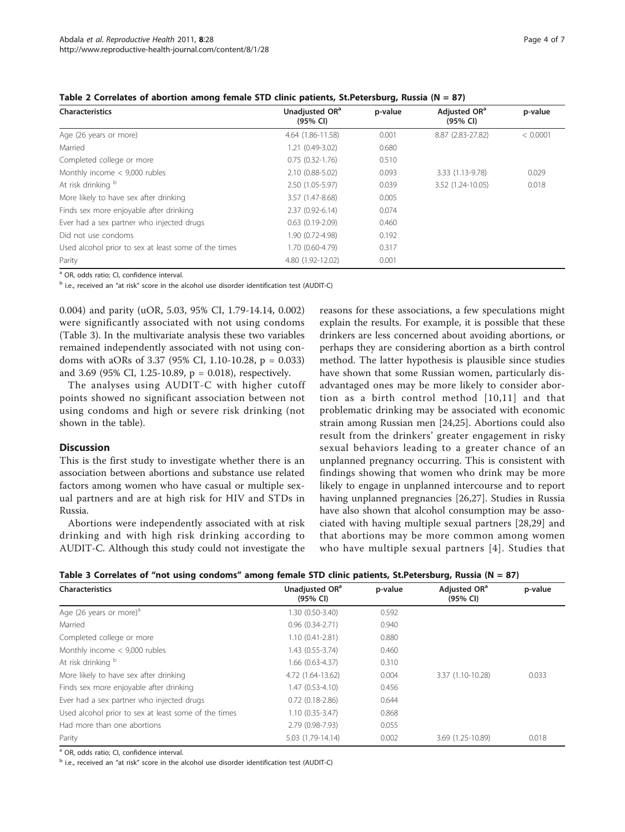| <b>Characteristics</b>                               | Unadjusted OR <sup>a</sup><br>(95% CI) | p-value | Adjusted OR <sup>a</sup><br>(95% CI) | p-value  |
|------------------------------------------------------|----------------------------------------|---------|--------------------------------------|----------|
| Age (26 years or more)                               | 4.64 (1.86-11.58)                      | 0.001   | 8.87 (2.83-27.82)                    | < 0.0001 |
| Married                                              | 1.21 (0.49-3.02)                       | 0.680   |                                      |          |
| Completed college or more                            | $0.75(0.32 - 1.76)$                    | 0.510   |                                      |          |
| Monthly income $<$ 9,000 rubles                      | 2.10 (0.88-5.02)                       | 0.093   | 3.33 (1.13-9.78)                     | 0.029    |
| At risk drinking b                                   | 2.50 (1.05-5.97)                       | 0.039   | 3.52 (1.24-10.05)                    | 0.018    |
| More likely to have sex after drinking               | 3.57 (1.47-8.68)                       | 0.005   |                                      |          |
| Finds sex more enjoyable after drinking              | 2.37 (0.92-6.14)                       | 0.074   |                                      |          |
| Ever had a sex partner who injected drugs            | $0.63$ $(0.19 - 2.09)$                 | 0.460   |                                      |          |
| Did not use condoms                                  | 1.90 (0.72-4.98)                       | 0.192   |                                      |          |
| Used alcohol prior to sex at least some of the times | 1.70 (0.60-4.79)                       | 0.317   |                                      |          |
| Parity                                               | 4.80 (1.92-12.02)                      | 0.001   |                                      |          |

<span id="page-3-0"></span>Table 2 Correlates of abortion among female STD clinic patients, St.Petersburg, Russia (N = 87)

<sup>a</sup> OR, odds ratio; CI, confidence interval.

b i.e., received an "at risk" score in the alcohol use disorder identification test (AUDIT-C)

0.004) and parity (uOR, 5.03, 95% CI, 1.79-14.14, 0.002) were significantly associated with not using condoms (Table 3). In the multivariate analysis these two variables remained independently associated with not using condoms with aORs of 3.37 (95% CI, 1.10-10.28, p = 0.033) and 3.69 (95% CI, 1.25-10.89, p = 0.018), respectively.

The analyses using AUDIT-C with higher cutoff points showed no significant association between not using condoms and high or severe risk drinking (not shown in the table).

#### **Discussion**

This is the first study to investigate whether there is an association between abortions and substance use related factors among women who have casual or multiple sexual partners and are at high risk for HIV and STDs in Russia.

Abortions were independently associated with at risk drinking and with high risk drinking according to AUDIT-C. Although this study could not investigate the

reasons for these associations, a few speculations might explain the results. For example, it is possible that these drinkers are less concerned about avoiding abortions, or perhaps they are considering abortion as a birth control method. The latter hypothesis is plausible since studies have shown that some Russian women, particularly disadvantaged ones may be more likely to consider abortion as a birth control method [[10,11](#page-5-0)] and that problematic drinking may be associated with economic strain among Russian men [[24,25\]](#page-5-0). Abortions could also result from the drinkers' greater engagement in risky sexual behaviors leading to a greater chance of an unplanned pregnancy occurring. This is consistent with findings showing that women who drink may be more likely to engage in unplanned intercourse and to report having unplanned pregnancies [\[26](#page-5-0),[27](#page-5-0)]. Studies in Russia have also shown that alcohol consumption may be associated with having multiple sexual partners [\[28](#page-5-0),[29\]](#page-5-0) and that abortions may be more common among women who have multiple sexual partners [[4\]](#page-5-0). Studies that

|  |  |  | Table 3 Correlates of "not using condoms" among female STD clinic patients, St.Petersburg, Russia (N = 87) |  |
|--|--|--|------------------------------------------------------------------------------------------------------------|--|
|--|--|--|------------------------------------------------------------------------------------------------------------|--|

| <b>Characteristics</b>                               | Unadjusted OR <sup>a</sup><br>(95% CI) | p-value | Adjusted OR <sup>a</sup><br>(95% CI) | p-value |
|------------------------------------------------------|----------------------------------------|---------|--------------------------------------|---------|
| Age (26 years or more) $a^a$                         | 1.30 (0.50-3.40)                       | 0.592   |                                      |         |
| Married                                              | $0.96(0.34-2.71)$                      | 0.940   |                                      |         |
| Completed college or more                            | $1.10(0.41 - 2.81)$                    | 0.880   |                                      |         |
| Monthly income $<$ 9,000 rubles                      | 1.43 (0.55-3.74)                       | 0.460   |                                      |         |
| At risk drinking b                                   | 1.66 (0.63-4.37)                       | 0.310   |                                      |         |
| More likely to have sex after drinking               | 4.72 (1.64-13.62)                      | 0.004   | 3.37 (1.10-10.28)                    | 0.033   |
| Finds sex more enjoyable after drinking              | $1.47(0.53-4.10)$                      | 0.456   |                                      |         |
| Ever had a sex partner who injected drugs            | $0.72$ $(0.18 - 2.86)$                 | 0.644   |                                      |         |
| Used alcohol prior to sex at least some of the times | $1.10(0.35-3.47)$                      | 0.868   |                                      |         |
| Had more than one abortions                          | 2.79 (0.98-7.93)                       | 0.055   |                                      |         |
| Parity                                               | 5.03 (1.79-14.14)                      | 0.002   | 3.69 (1.25-10.89)                    | 0.018   |

<sup>a</sup> OR, odds ratio; CI, confidence interval.

b i.e., received an "at risk" score in the alcohol use disorder identification test (AUDIT-C)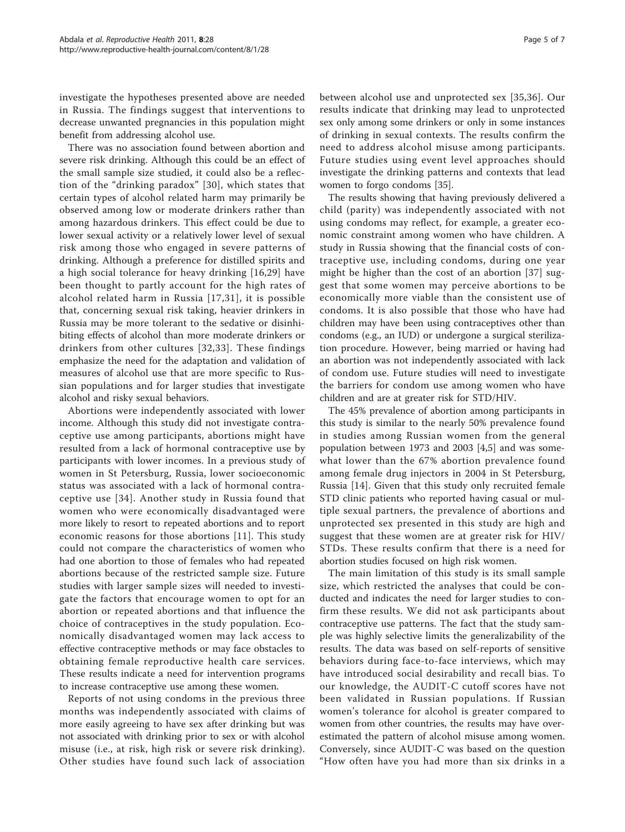investigate the hypotheses presented above are needed in Russia. The findings suggest that interventions to decrease unwanted pregnancies in this population might benefit from addressing alcohol use.

There was no association found between abortion and severe risk drinking. Although this could be an effect of the small sample size studied, it could also be a reflection of the "drinking paradox" [[30\]](#page-6-0), which states that certain types of alcohol related harm may primarily be observed among low or moderate drinkers rather than among hazardous drinkers. This effect could be due to lower sexual activity or a relatively lower level of sexual risk among those who engaged in severe patterns of drinking. Although a preference for distilled spirits and a high social tolerance for heavy drinking [[16,29\]](#page-5-0) have been thought to partly account for the high rates of alcohol related harm in Russia [[17,](#page-5-0)[31\]](#page-6-0), it is possible that, concerning sexual risk taking, heavier drinkers in Russia may be more tolerant to the sedative or disinhibiting effects of alcohol than more moderate drinkers or drinkers from other cultures [[32,33\]](#page-6-0). These findings emphasize the need for the adaptation and validation of measures of alcohol use that are more specific to Russian populations and for larger studies that investigate alcohol and risky sexual behaviors.

Abortions were independently associated with lower income. Although this study did not investigate contraceptive use among participants, abortions might have resulted from a lack of hormonal contraceptive use by participants with lower incomes. In a previous study of women in St Petersburg, Russia, lower socioeconomic status was associated with a lack of hormonal contraceptive use [[34](#page-6-0)]. Another study in Russia found that women who were economically disadvantaged were more likely to resort to repeated abortions and to report economic reasons for those abortions [[11](#page-5-0)]. This study could not compare the characteristics of women who had one abortion to those of females who had repeated abortions because of the restricted sample size. Future studies with larger sample sizes will needed to investigate the factors that encourage women to opt for an abortion or repeated abortions and that influence the choice of contraceptives in the study population. Economically disadvantaged women may lack access to effective contraceptive methods or may face obstacles to obtaining female reproductive health care services. These results indicate a need for intervention programs to increase contraceptive use among these women.

Reports of not using condoms in the previous three months was independently associated with claims of more easily agreeing to have sex after drinking but was not associated with drinking prior to sex or with alcohol misuse (i.e., at risk, high risk or severe risk drinking). Other studies have found such lack of association Page 5 of 7

between alcohol use and unprotected sex [[35,36](#page-6-0)]. Our results indicate that drinking may lead to unprotected sex only among some drinkers or only in some instances of drinking in sexual contexts. The results confirm the need to address alcohol misuse among participants. Future studies using event level approaches should investigate the drinking patterns and contexts that lead women to forgo condoms [\[35](#page-6-0)].

The results showing that having previously delivered a child (parity) was independently associated with not using condoms may reflect, for example, a greater economic constraint among women who have children. A study in Russia showing that the financial costs of contraceptive use, including condoms, during one year might be higher than the cost of an abortion [[37\]](#page-6-0) suggest that some women may perceive abortions to be economically more viable than the consistent use of condoms. It is also possible that those who have had children may have been using contraceptives other than condoms (e.g., an IUD) or undergone a surgical sterilization procedure. However, being married or having had an abortion was not independently associated with lack of condom use. Future studies will need to investigate the barriers for condom use among women who have children and are at greater risk for STD/HIV.

The 45% prevalence of abortion among participants in this study is similar to the nearly 50% prevalence found in studies among Russian women from the general population between 1973 and 2003 [[4,5\]](#page-5-0) and was somewhat lower than the 67% abortion prevalence found among female drug injectors in 2004 in St Petersburg, Russia [[14\]](#page-5-0). Given that this study only recruited female STD clinic patients who reported having casual or multiple sexual partners, the prevalence of abortions and unprotected sex presented in this study are high and suggest that these women are at greater risk for HIV/ STDs. These results confirm that there is a need for abortion studies focused on high risk women.

The main limitation of this study is its small sample size, which restricted the analyses that could be conducted and indicates the need for larger studies to confirm these results. We did not ask participants about contraceptive use patterns. The fact that the study sample was highly selective limits the generalizability of the results. The data was based on self-reports of sensitive behaviors during face-to-face interviews, which may have introduced social desirability and recall bias. To our knowledge, the AUDIT-C cutoff scores have not been validated in Russian populations. If Russian women's tolerance for alcohol is greater compared to women from other countries, the results may have overestimated the pattern of alcohol misuse among women. Conversely, since AUDIT-C was based on the question "How often have you had more than six drinks in a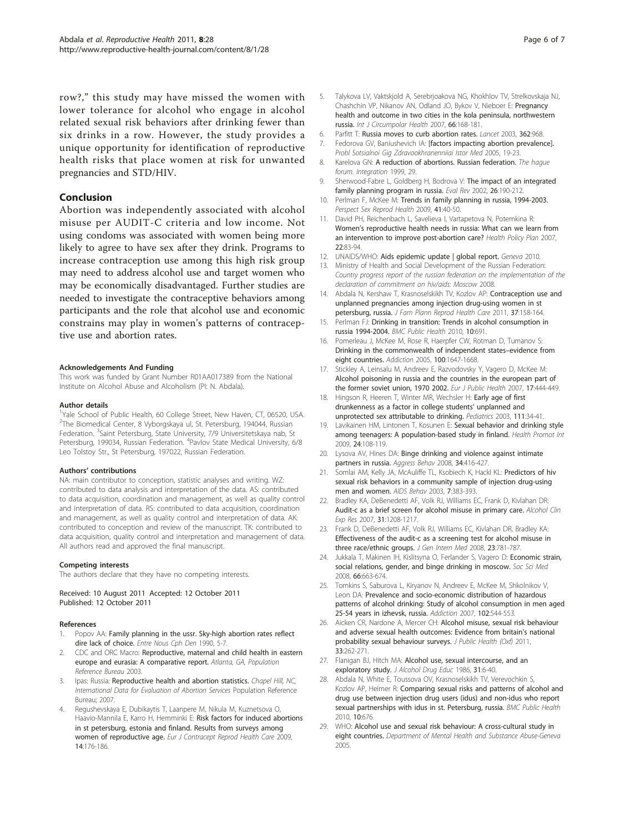<span id="page-5-0"></span>row?," this study may have missed the women with lower tolerance for alcohol who engage in alcohol related sexual risk behaviors after drinking fewer than six drinks in a row. However, the study provides a unique opportunity for identification of reproductive health risks that place women at risk for unwanted pregnancies and STD/HIV.

#### Conclusion

Abortion was independently associated with alcohol misuse per AUDIT-C criteria and low income. Not using condoms was associated with women being more likely to agree to have sex after they drink. Programs to increase contraception use among this high risk group may need to address alcohol use and target women who may be economically disadvantaged. Further studies are needed to investigate the contraceptive behaviors among participants and the role that alcohol use and economic constrains may play in women's patterns of contraceptive use and abortion rates.

#### Acknowledgements And Funding

This work was funded by Grant Number R01AA017389 from the National Institute on Alcohol Abuse and Alcoholism (PI: N. Abdala).

#### Author details

<sup>1</sup>Yale School of Public Health, 60 College Street, New Haven, CT, 06520, USA. <sup>2</sup>The Biomedical Center, 8 Vyborgskaya ul, St. Petersburg, 194044, Russian Federation. <sup>3</sup>Saint Petersburg, State University, 7/9 Universitetskaya nab, St Petersburg, 199034, Russian Federation. <sup>4</sup>Pavlov State Medical University, 6/8 Leo Tolstoy Str., St Petersburg, 197022, Russian Federation.

#### Authors' contributions

NA: main contributor to conception, statistic analyses and writing. WZ: contributed to data analysis and interpretation of the data. AS: contributed to data acquisition, coordination and management, as well as quality control and interpretation of data. RS: contributed to data acquisition, coordination and management, as well as quality control and interpretation of data. AK: contributed to conception and review of the manuscript. TK: contributed to data acquisition, quality control and interpretation and management of data. All authors read and approved the final manuscript.

#### Competing interests

The authors declare that they have no competing interests.

Received: 10 August 2011 Accepted: 12 October 2011 Published: 12 October 2011

#### References

- 1. Popov AA: Family planning in the ussr. Sky-high abortion rates reflect dire lack of choice. Entre Nous Cph Den 1990, 5-7.
- 2. CDC and ORC Macro: Reproductive, maternal and child health in eastern europe and eurasia: A comparative report. Atlanta, GA, Population Reference Bureau 2003.
- 3. Ipas: Russia: Reproductive health and abortion statistics. Chapel Hill, NC, International Data for Evaluation of Abortion Services Population Reference Bureau; 2007.
- 4. Regushevskaya E, Dubikaytis T, Laanpere M, Nikula M, Kuznetsova O, Haavio-Mannila E, Karro H, Hemminki E: [Risk factors for induced abortions](http://www.ncbi.nlm.nih.gov/pubmed/19565415?dopt=Abstract) [in st petersburg, estonia and finland. Results from surveys among](http://www.ncbi.nlm.nih.gov/pubmed/19565415?dopt=Abstract) [women of reproductive age.](http://www.ncbi.nlm.nih.gov/pubmed/19565415?dopt=Abstract) Eur J Contracept Reprod Health Care 2009, 14:176-186.
- 5. Talykova LV, Vaktskjold A, Serebrjoakova NG, Khokhlov TV, Strelkovskaja NJ, Chashchin VP, Nikanov AN, Odland JO, Bykov V, Nieboer E: [Pregnancy](http://www.ncbi.nlm.nih.gov/pubmed/17515256?dopt=Abstract) [health and outcome in two cities in the kola peninsula, northwestern](http://www.ncbi.nlm.nih.gov/pubmed/17515256?dopt=Abstract) [russia.](http://www.ncbi.nlm.nih.gov/pubmed/17515256?dopt=Abstract) Int J Circumpolar Health 2007, 66:168-181.
- 6. Parfitt T: [Russia moves to curb abortion rates.](http://www.ncbi.nlm.nih.gov/pubmed/14513847?dopt=Abstract) Lancet 2003, 362:968.
- 7. Fedorova GV, Baniushevich IA: [factors impacting abortion prevalence]. Probl Sotsialnoi Gig Zdravookhranenniiai Istor Med 2005, 19-23.
- 8. Karelova GN: A reduction of abortions. Russian federation. The hague forum. Integration 1999, 29.
- 9. Sherwood-Fabre L, Goldberg H, Bodrova V: [The impact of an integrated](http://www.ncbi.nlm.nih.gov/pubmed/11949538?dopt=Abstract) [family planning program in russia.](http://www.ncbi.nlm.nih.gov/pubmed/11949538?dopt=Abstract) Eval Rev 2002, 26:190-212.
- 10. Perlman F, McKee M: [Trends in family planning in russia, 1994-2003.](http://www.ncbi.nlm.nih.gov/pubmed/19291128?dopt=Abstract) Perspect Sex Reprod Health 2009, 41:40-50.
- 11. David PH, Reichenbach L, Savelieva I, Vartapetova N, Potemkina R: Women'[s reproductive health needs in russia: What can we learn from](http://www.ncbi.nlm.nih.gov/pubmed/17299022?dopt=Abstract) [an intervention to improve post-abortion care?](http://www.ncbi.nlm.nih.gov/pubmed/17299022?dopt=Abstract) Health Policy Plan 2007, 22:83-94.
- 12. UNAIDS/WHO: Aids epidemic update | global report. Geneva 2010.
- 13. Ministry of Health and Social Development of the Russian Federation: Country progress report of the russian federation on the implementation of the declaration of commitment on hiv/aids: Moscow 2008.
- 14. Abdala N, Kershaw T, Krasnoselskikh TV, Kozlov AP: [Contraception use and](http://www.ncbi.nlm.nih.gov/pubmed/21493618?dopt=Abstract) [unplanned pregnancies among injection drug-using women in st](http://www.ncbi.nlm.nih.gov/pubmed/21493618?dopt=Abstract) [petersburg, russia.](http://www.ncbi.nlm.nih.gov/pubmed/21493618?dopt=Abstract) J Fam Plann Reprod Health Care 2011, 37:158-164.
- 15. Perlman FJ: [Drinking in transition: Trends in alcohol consumption in](http://www.ncbi.nlm.nih.gov/pubmed/21070625?dopt=Abstract) [russia 1994-2004.](http://www.ncbi.nlm.nih.gov/pubmed/21070625?dopt=Abstract) BMC Public Health 2010, 10:691.
- 16. Pomerleau J, McKee M, Rose R, Haerpfer CW, Rotman D, Tumanov S: [Drinking in the commonwealth of independent states](http://www.ncbi.nlm.nih.gov/pubmed/16277626?dopt=Abstract)–evidence from [eight countries.](http://www.ncbi.nlm.nih.gov/pubmed/16277626?dopt=Abstract) Addiction 2005, 100:1647-1668.
- 17. Stickley A, Leinsalu M, Andreev E, Razvodovsky Y, Vagero D, McKee M: Alcohol [poisoning in russia and the countries in the european part of](http://www.ncbi.nlm.nih.gov/pubmed/17327281?dopt=Abstract) [the former soviet union, 1970 2002.](http://www.ncbi.nlm.nih.gov/pubmed/17327281?dopt=Abstract) Eur J Public Health 2007, 17:444-449.
- 18. Hingson R, Heeren T, Winter MR, Wechsler H: [Early age of first](http://www.ncbi.nlm.nih.gov/pubmed/12509551?dopt=Abstract) [drunkenness as a factor in college students](http://www.ncbi.nlm.nih.gov/pubmed/12509551?dopt=Abstract)' unplanned and [unprotected sex attributable to drinking.](http://www.ncbi.nlm.nih.gov/pubmed/12509551?dopt=Abstract) Pediatrics 2003, 111:34-41.
- 19. Lavikainen HM, Lintonen T, Kosunen E: [Sexual behavior and drinking style](http://www.ncbi.nlm.nih.gov/pubmed/19304992?dopt=Abstract) [among teenagers: A population-based study in finland.](http://www.ncbi.nlm.nih.gov/pubmed/19304992?dopt=Abstract) Health Promot Int 2009, 24:108-119.
- 20. Lysova AV, Hines DA: [Binge drinking and violence against intimate](http://www.ncbi.nlm.nih.gov/pubmed/18384157?dopt=Abstract) [partners in russia.](http://www.ncbi.nlm.nih.gov/pubmed/18384157?dopt=Abstract) Aggress Behav 2008, 34:416-427.
- 21. Somlai AM, Kelly JA, McAuliffe TL, Ksobiech K, Hackl KL: [Predictors of hiv](http://www.ncbi.nlm.nih.gov/pubmed/14707535?dopt=Abstract) [sexual risk behaviors in a community sample of injection drug-using](http://www.ncbi.nlm.nih.gov/pubmed/14707535?dopt=Abstract) [men and women.](http://www.ncbi.nlm.nih.gov/pubmed/14707535?dopt=Abstract) AIDS Behav 2003, 7:383-393.
- 22. Bradley KA, DeBenedetti AF, Volk RJ, Williams EC, Frank D, Kivlahan DR: [Audit-c as a brief screen for alcohol misuse in primary care.](http://www.ncbi.nlm.nih.gov/pubmed/17451397?dopt=Abstract) Alcohol Clin Exp Res 2007, 31:1208-1217.
- 23. Frank D, DeBenedetti AF, Volk RJ, Williams EC, Kivlahan DR, Bradley KA: [Effectiveness of the audit-c as a screening test for alcohol misuse in](http://www.ncbi.nlm.nih.gov/pubmed/18421511?dopt=Abstract) [three race/ethnic groups.](http://www.ncbi.nlm.nih.gov/pubmed/18421511?dopt=Abstract) J Gen Intern Med 2008, 23:781-787.
- 24. Jukkala T, Makinen IH, Kislitsyna O, Ferlander S, Vagero D: [Economic strain,](http://www.ncbi.nlm.nih.gov/pubmed/18023952?dopt=Abstract) [social relations, gender, and binge drinking in moscow.](http://www.ncbi.nlm.nih.gov/pubmed/18023952?dopt=Abstract) Soc Sci Med 2008, 66:663-674.
- 25. Tomkins S, Saburova L, Kiryanov N, Andreev E, McKee M, Shkolnikov V, Leon DA: [Prevalence and socio-economic distribution of hazardous](http://www.ncbi.nlm.nih.gov/pubmed/17362291?dopt=Abstract) [patterns of alcohol drinking: Study of alcohol consumption in men aged](http://www.ncbi.nlm.nih.gov/pubmed/17362291?dopt=Abstract) [25-54 years in izhevsk, russia.](http://www.ncbi.nlm.nih.gov/pubmed/17362291?dopt=Abstract) Addiction 2007, 102:544-553.
- 26. Aicken CR, Nardone A, Mercer CH: Alcohol misuse, sexual risk behaviour and adverse sexual health outcomes: Evidence from britain's national probability sexual behaviour surveys. J Public Health (Oxf) 2011, 33:262-271.
- 27. Flanigan BJ, Hitch MA: [Alcohol use, sexual intercourse, and an](http://www.ncbi.nlm.nih.gov/pubmed/12268502?dopt=Abstract) [exploratory study.](http://www.ncbi.nlm.nih.gov/pubmed/12268502?dopt=Abstract) J Alcohol Drug Educ 1986, 31:6-40.
- 28. Abdala N, White E, Toussova OV, Krasnoselskikh TV, Verevochkin S, Kozlov AP, Heimer R: [Comparing sexual risks and patterns of alcohol and](http://www.ncbi.nlm.nih.gov/pubmed/21054855?dopt=Abstract) [drug use between injection drug users \(idus\) and non-idus who report](http://www.ncbi.nlm.nih.gov/pubmed/21054855?dopt=Abstract) [sexual partnerships with idus in st. Petersburg, russia.](http://www.ncbi.nlm.nih.gov/pubmed/21054855?dopt=Abstract) BMC Public Health 2010, 10:676.
- WHO: Alcohol use and sexual risk behaviour: A cross-cultural study in eight countries. Department of Mental Health and Substance Abuse-Geneva 2005.